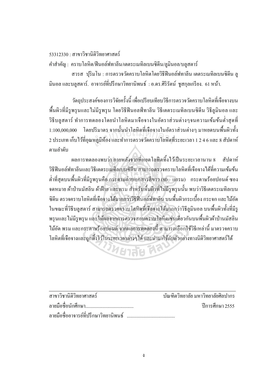$53312330 : \pi$ าขาวิชานิติวิทยาศาสตร์

คำสำคัญ : คราบโลหิต/ฟืนอล์ฟทาลีน/เตตระเมทิลเบนซิดีน/ลูมินอล/บลูสตาร์

สวรส ปุริมโน : การตรวจวัดคราบโลหิตโดยวิธีฟีนอล์ฟทาลีน เตตระเมทิลเบนซิดีน ลู ้มินอล และบลสตาร์. อาจารย์ที่ปรึกษาวิทยานิพนธ์ : อ.คร.ศิริรัตน์ ชสกลเกรียง. 61 หน้า.

วัตถุประสงค์ของการวิจัยครั้งนี้ เพื่อเปรียบเทียบวิธีการตรวจวัดคราบโลหิตที่เจือจางบน ำพื้นผิวที่มีรูพรุนและไม่มีรูพรุน โดยวิธีฟีนอลฟ์ทาลีน วิธีเตตระเมทิลเบนซิดีน วิธีลูมินอล และ วิธีบลูสตาร์ ทำการทคลองโคยนำโลหิตมาเจือจางในอัตราส่วนต่างๆจนความเข้มข้นต่ำสุดที่ 1:100,000,000 โดยปริมาตร จากนั้นนำโลหิตที่เจือจางในอัตราส่วนต่างๆ มาหยดบนพื้นผิวทั้ง 2 ประเภท เก็บไว้ที่อุณหภูมิห้อง และทำการตรวจวัดคราบโลหิตที่ระยะเวลา 1 2 4 6 และ 8 สัปดาห์ ตามลำดับ ารมาตร จากนนนา เลหตทเจอจาง เนอตร<br>หภูมิห้อง และทำการตรวจวัดคราบโลหิตที่

ผลการทดลองพบว่า ภายหลังจากที่หยดโลหิตทิ้งใว้เป็นระยะเวลานาน 8 สัปดาห์ วิธีฟีนอล์ฟทาลีนและวิธีเตตระเมทิลเบนซิดีน สามารถตรวจคราบโลหิตที่เจือจางใค้ที่ความเข้มข้น ต่ำที่สุดบนพื้นผิวที่มีรูพรุนคือ กระคายถ่ายเอกสารสีขาว (80 แกรม) กระคาษร้อยปอนด์ ซอง จดหมาย ผ้าป่านมัสลิน ผ้าฝ้าย และพรม สำหรับพื้นผิวที่ไม่มีรูพรุนนั้น พบว่าวิธีเตตระเมทิลเบน ซิดีน ตรวจคราบโลหิตที่เจือจางได้มากกว่าวิธีฟีนอล์ฟทาลีน บนพื้นผิวกระเบื้อง กระจก และไม้อัด ¸É ในขณะที่วิธีบลูสตาร์ สามารถตรวจคราบโลหิตที่เจือจางใด้มากกว่าวิธีลูมินอล บนพื้นผิวทั้งที่มีรู ¸É พรุนและ ไม่มีรูพรุน และให้ผลจากการตรวจสอบคราบโลหิตเช่นเดียวกันบนพื้นผิวผ้าป่านมัสลิน ื ไม้อัค พรม และกระดาษร้อยปอนด์ จากผลการทดลองนี้ สามารถเลือกใช้วิธีเหล่านี้ มาตรวจคราบ โลหิตที่เจือจางและถูกทิ้งใว้ในระยะเวลาต่างๆใด้ และนำมาใช้กับตัวอย่างทางนิติวิทยาศาสตร์ใด้ ∫

## µµª·µ··ª·¥µ«µ¦r ´·ª·¥µ¨¥¤®µª ´ ·¥µ¨¥«´ ·¨µ¦ ¨µ¥¤º° °«´ ¹¬µ¸µ¦«¹¬µ 2555 ºÉ ¨µ¥¤º° °°µµ¦¥r¸É¦¹¬µª¥µ · ·¡r ºÉ

**UNBTER AS**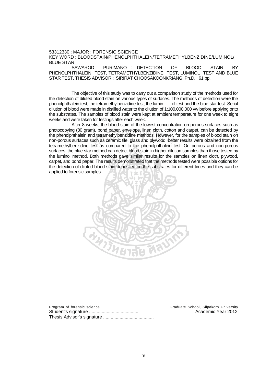53312330 : MAJOR : FORENSIC SCIENCE KEY WORD : BLOODSTAIN/PHENOLPHTHALEIN/TETRAMETHYLBENZIDINE/LUMINOL/ BLUE STAR

SAWAROD PURIMANO : DETECTION OF BLOOD STAIN BY PHENOLPHTHALEIN TEST, TETRAMETHYLBENZIDINE TEST, LUMINOL TEST AND BLUE STAR TEST. THESIS ADVISOR : SIRIRAT CHOOSAKOONKRIANG, Ph.D.. 61 pp.

The objective of this study was to carry out a comparison study of the methods used for the detection of diluted blood stain on various types of surfaces. The methods of detection were the phenolphthalein test, the tetramethylbenzidine test, the lumin ol test and the blue-star test. Serial dilution of blood were made in distilled water to the dilution of 1:100,000,000 v/v before applying onto the substrates. The samples of blood stain were kept at ambient temperature for one week to eight weeks and were taken for testings after each week.

After 8 weeks, the blood stain of the lowest concentration on porous surfaces such as photocopying (80 gram), bond paper, envelope, linen cloth, cotton and carpet, can be detected by the phenolphthalein and tetramethylbenzidine methods. However, for the samples of blood stain on non-porous surfaces such as ceramic tile, glass and plywood, better results were obtained from the tetramethylbenzidine test as compared to the phenolphthalein test. On porous and non-porous surfaces, the blue-star method can detect blood stain in higher dilution samples than those tested by the luminol method. Both methods gave similar results for the samples on linen cloth, plywood, carpet, and bond paper. The results demonstrated that the methods tested were possible options for the detection of diluted blood stain deposited on the substrates for different times and they can be applied to forensic samples. i), bond paper, envelope, linen cloth, cottoi<br>d tetramethylbenzidine methods. However,<br>uch as ceramic tile, glass and plywood, bet<br>est as compared to the phenolohthalein i



Program of forensic science<br>
Student's signature<br>
Student's signature<br>
Craduate School, Silpakorn University<br>
Craduate School, Silpakorn University<br>
Crademic Year 2012 Student's signature ........................................ Academic Year 2012 Thesis Advisor's signature ........................................